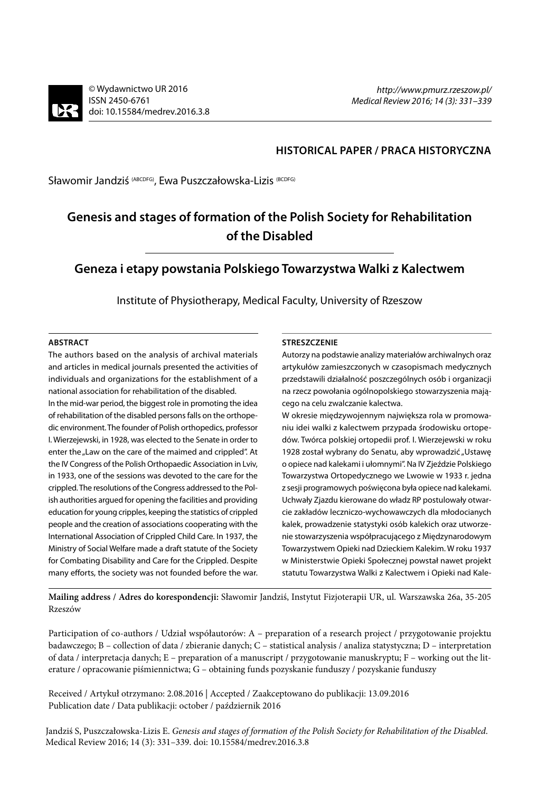### **HISTORICAL PAPER / PRACA HISTORYCZNA**

Sławomir Jandziś (ABCDFG), Ewa Puszczałowska-Lizis (BCDFG)

# **Genesis and stages of formation of the Polish Society for Rehabilitation of the Disabled**

## **Geneza i etapy powstania Polskiego Towarzystwa Walki z Kalectwem**

Institute of Physiotherapy, Medical Faculty, University of Rzeszow

#### **ABSTRACT**

The authors based on the analysis of archival materials and articles in medical journals presented the activities of individuals and organizations for the establishment of a national association for rehabilitation of the disabled. In the mid-war period, the biggest role in promoting the idea of rehabilitation of the disabled persons falls on the orthopedic environment. The founder of Polish orthopedics, professor I. Wierzejewski, in 1928, was elected to the Senate in order to enter the "Law on the care of the maimed and crippled". At the IV Congress of the Polish Orthopaedic Association in Lviv, in 1933, one of the sessions was devoted to the care for the crippled. The resolutions of the Congress addressed to the Polish authorities argued for opening the facilities and providing education for young cripples, keeping the statistics of crippled people and the creation of associations cooperating with the International Association of Crippled Child Care. In 1937, the Ministry of Social Welfare made a draft statute of the Society for Combating Disability and Care for the Crippled. Despite many efforts, the society was not founded before the war.

#### **STRESZCZENIE**

Autorzy na podstawie analizy materiałów archiwalnych oraz artykułów zamieszczonych w czasopismach medycznych przedstawili działalność poszczególnych osób i organizacji na rzecz powołania ogólnopolskiego stowarzyszenia mającego na celu zwalczanie kalectwa.

W okresie międzywojennym największa rola w promowaniu idei walki z kalectwem przypada środowisku ortopedów. Twórca polskiej ortopedii prof. I. Wierzejewski w roku 1928 został wybrany do Senatu, aby wprowadzić "Ustawę o opiece nad kalekami i ułomnymi". Na IV Zjeździe Polskiego Towarzystwa Ortopedycznego we Lwowie w 1933 r. jedna z sesji programowych poświęcona była opiece nad kalekami. Uchwały Zjazdu kierowane do władz RP postulowały otwarcie zakładów leczniczo-wychowawczych dla młodocianych kalek, prowadzenie statystyki osób kalekich oraz utworzenie stowarzyszenia współpracującego z Międzynarodowym Towarzystwem Opieki nad Dzieckiem Kalekim. W roku 1937 w Ministerstwie Opieki Społecznej powstał nawet projekt statutu Towarzystwa Walki z Kalectwem i Opieki nad Kale-

**Mailing address / Adres do korespondencji:** Sławomir Jandziś, Instytut Fizjoterapii UR, ul. Warszawska 26a, 35-205 Rzeszów

Participation of co-authors / Udział współautorów: A – preparation of a research project / przygotowanie projektu badawczego; B – collection of data / zbieranie danych; C – statistical analysis / analiza statystyczna; D – interpretation of data / interpretacja danych; E – preparation of a manuscript / przygotowanie manuskryptu; F – working out the literature / opracowanie piśmiennictwa; G – obtaining funds pozyskanie funduszy / pozyskanie funduszy

Received / Artykuł otrzymano: 2.08.2016 | Accepted / Zaakceptowano do publikacji: 13.09.2016 Publication date / Data publikacji: october / październik 2016

Jandziś S, Puszczałowska-Lizis E. *Genesis and stages of formation of the Polish Society for Rehabilitation of the Disabled*. Medical Review 2016; 14 (3): 331–339. doi: 10.15584/medrev.2016.3.8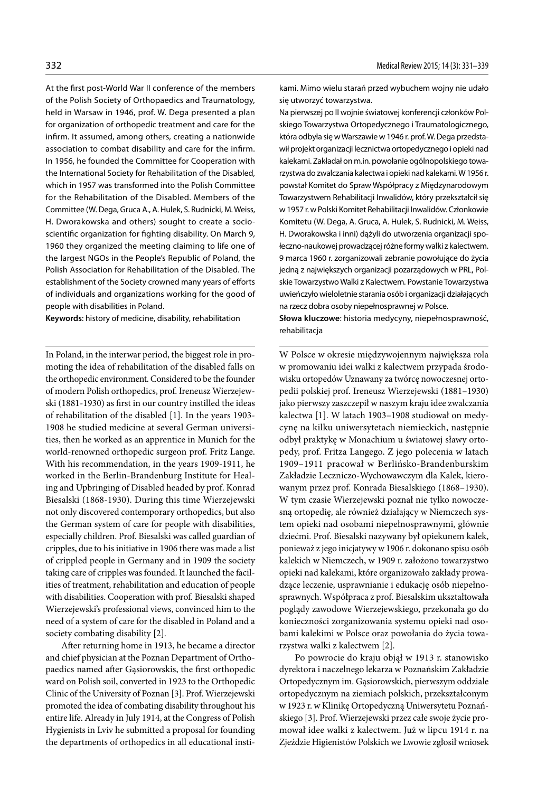At the first post-World War II conference of the members of the Polish Society of Orthopaedics and Traumatology, held in Warsaw in 1946, prof. W. Dega presented a plan for organization of orthopedic treatment and care for the infirm. It assumed, among others, creating a nationwide association to combat disability and care for the infirm. In 1956, he founded the Committee for Cooperation with the International Society for Rehabilitation of the Disabled, which in 1957 was transformed into the Polish Committee for the Rehabilitation of the Disabled. Members of the Committee (W. Dega, Gruca A., A. Hulek, S. Rudnicki, M. Weiss, H. Dworakowska and others) sought to create a socioscientific organization for fighting disability. On March 9, 1960 they organized the meeting claiming to life one of the largest NGOs in the People's Republic of Poland, the Polish Association for Rehabilitation of the Disabled. The establishment of the Society crowned many years of efforts of individuals and organizations working for the good of people with disabilities in Poland.

**Keywords**: history of medicine, disability, rehabilitation

In Poland, in the interwar period, the biggest role in promoting the idea of rehabilitation of the disabled falls on the orthopedic environment. Considered to be the founder of modern Polish orthopedics, prof. Ireneusz Wierzejewski (1881-1930) as first in our country instilled the ideas of rehabilitation of the disabled [1]. In the years 1903- 1908 he studied medicine at several German universities, then he worked as an apprentice in Munich for the world-renowned orthopedic surgeon prof. Fritz Lange. With his recommendation, in the years 1909-1911, he worked in the Berlin-Brandenburg Institute for Healing and Upbringing of Disabled headed by prof. Konrad Biesalski (1868-1930). During this time Wierzejewski not only discovered contemporary orthopedics, but also the German system of care for people with disabilities, especially children. Prof. Biesalski was called guardian of cripples, due to his initiative in 1906 there was made a list of crippled people in Germany and in 1909 the society taking care of cripples was founded. It launched the facilities of treatment, rehabilitation and education of people with disabilities. Cooperation with prof. Biesalski shaped Wierzejewski's professional views, convinced him to the need of a system of care for the disabled in Poland and a society combating disability [2].

After returning home in 1913, he became a director and chief physician at the Poznan Department of Orthopaedics named after Gąsiorowskis, the first orthopedic ward on Polish soil, converted in 1923 to the Orthopedic Clinic of the University of Poznan [3]. Prof. Wierzejewski promoted the idea of combating disability throughout his entire life. Already in July 1914, at the Congress of Polish Hygienists in Lviv he submitted a proposal for founding the departments of orthopedics in all educational instikami. Mimo wielu starań przed wybuchem wojny nie udało się utworzyć towarzystwa.

Na pierwszej po II wojnie światowej konferencji członków Polskiego Towarzystwa Ortopedycznego i Traumatologicznego, która odbyła się w Warszawie w 1946 r. prof. W. Dega przedstawił projekt organizacji lecznictwa ortopedycznego i opieki nad kalekami. Zakładał on m.in. powołanie ogólnopolskiego towarzystwa do zwalczania kalectwa i opieki nad kalekami. W 1956 r. powstał Komitet do Spraw Współpracy z Międzynarodowym Towarzystwem Rehabilitacji Inwalidów, który przekształcił się w 1957 r. w Polski Komitet Rehabilitacji Inwalidów. Członkowie Komitetu (W. Dega, A. Gruca, A. Hulek, S. Rudnicki, M. Weiss, H. Dworakowska i inni) dążyli do utworzenia organizacji społeczno-naukowej prowadzącej różne formy walki z kalectwem. 9 marca 1960 r. zorganizowali zebranie powołujące do życia jedną z największych organizacji pozarządowych w PRL, Polskie Towarzystwo Walki z Kalectwem. Powstanie Towarzystwa uwieńczyło wieloletnie starania osób i organizacji działających na rzecz dobra osoby niepełnosprawnej w Polsce.

**Słowa kluczowe**: historia medycyny, niepełnosprawność, rehabilitacja

W Polsce w okresie międzywojennym największa rola w promowaniu idei walki z kalectwem przypada środowisku ortopedów Uznawany za twórcę nowoczesnej ortopedii polskiej prof. Ireneusz Wierzejewski (1881–1930) jako pierwszy zaszczepił w naszym kraju idee zwalczania kalectwa [1]. W latach 1903–1908 studiował on medycynę na kilku uniwersytetach niemieckich, następnie odbył praktykę w Monachium u światowej sławy ortopedy, prof. Fritza Langego. Z jego polecenia w latach 1909–1911 pracował w Berlińsko-Brandenburskim Zakładzie Leczniczo-Wychowawczym dla Kalek, kierowanym przez prof. Konrada Biesalskiego (1868–1930). W tym czasie Wierzejewski poznał nie tylko nowoczesną ortopedię, ale również działający w Niemczech system opieki nad osobami niepełnosprawnymi, głównie dziećmi. Prof. Biesalski nazywany był opiekunem kalek, ponieważ z jego inicjatywy w 1906 r. dokonano spisu osób kalekich w Niemczech, w 1909 r. założono towarzystwo opieki nad kalekami, które organizowało zakłady prowadzące leczenie, usprawnianie i edukację osób niepełnosprawnych. Współpraca z prof. Biesalskim ukształtowała poglądy zawodowe Wierzejewskiego, przekonała go do konieczności zorganizowania systemu opieki nad osobami kalekimi w Polsce oraz powołania do życia towarzystwa walki z kalectwem [2].

Po powrocie do kraju objął w 1913 r. stanowisko dyrektora i naczelnego lekarza w Poznańskim Zakładzie Ortopedycznym im. Gąsiorowskich, pierwszym oddziale ortopedycznym na ziemiach polskich, przekształconym w 1923 r. w Klinikę Ortopedyczną Uniwersytetu Poznańskiego [3]. Prof. Wierzejewski przez całe swoje życie promował idee walki z kalectwem. Już w lipcu 1914 r. na Zjeździe Higienistów Polskich we Lwowie zgłosił wniosek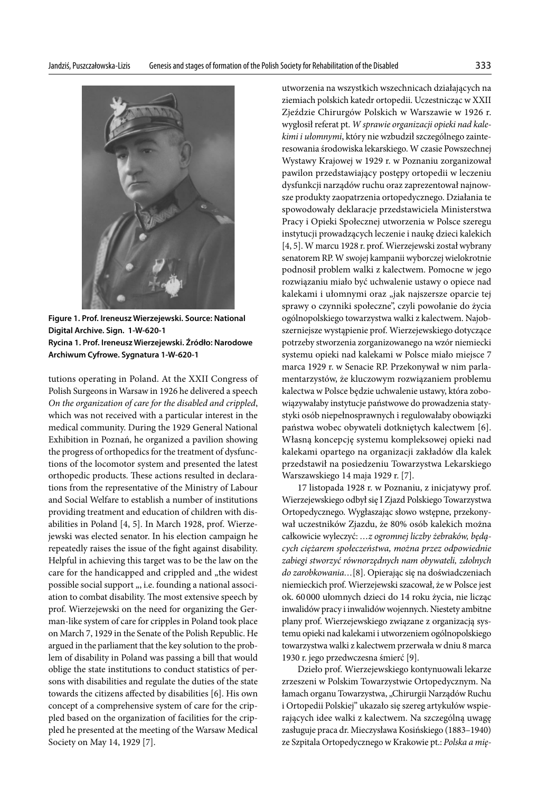

**Figure 1. Prof. Ireneusz Wierzejewski. Source: National Digital Archive. Sign. 1-W-620-1 Rycina 1. Prof. Ireneusz Wierzejewski. Źródło: Narodowe Archiwum Cyfrowe. Sygnatura 1-W-620-1**

tutions operating in Poland. At the XXII Congress of Polish Surgeons in Warsaw in 1926 he delivered a speech *On the organization of care for the disabled and crippled*, which was not received with a particular interest in the medical community. During the 1929 General National Exhibition in Poznań, he organized a pavilion showing the progress of orthopedics for the treatment of dysfunctions of the locomotor system and presented the latest orthopedic products. These actions resulted in declarations from the representative of the Ministry of Labour and Social Welfare to establish a number of institutions providing treatment and education of children with disabilities in Poland [4, 5]. In March 1928, prof. Wierzejewski was elected senator. In his election campaign he repeatedly raises the issue of the fight against disability. Helpful in achieving this target was to be the law on the care for the handicapped and crippled and "the widest possible social support ", i.e. founding a national association to combat disability. The most extensive speech by prof. Wierzejewski on the need for organizing the German-like system of care for cripples in Poland took place on March 7, 1929 in the Senate of the Polish Republic. He argued in the parliament that the key solution to the problem of disability in Poland was passing a bill that would oblige the state institutions to conduct statistics of persons with disabilities and regulate the duties of the state towards the citizens affected by disabilities [6]. His own concept of a comprehensive system of care for the crippled based on the organization of facilities for the crippled he presented at the meeting of the Warsaw Medical Society on May 14, 1929 [7].

utworzenia na wszystkich wszechnicach działających na ziemiach polskich katedr ortopedii. Uczestnicząc w XXII Zjeździe Chirurgów Polskich w Warszawie w 1926 r. wygłosił referat pt. *W sprawie organizacji opieki nad kalekimi i ułomnymi*, który nie wzbudził szczególnego zainteresowania środowiska lekarskiego. W czasie Powszechnej Wystawy Krajowej w 1929 r. w Poznaniu zorganizował pawilon przedstawiający postępy ortopedii w leczeniu dysfunkcji narządów ruchu oraz zaprezentował najnowsze produkty zaopatrzenia ortopedycznego. Działania te spowodowały deklaracje przedstawiciela Ministerstwa Pracy i Opieki Społecznej utworzenia w Polsce szeregu instytucji prowadzących leczenie i naukę dzieci kalekich [4, 5]. W marcu 1928 r. prof. Wierzejewski został wybrany senatorem RP. W swojej kampanii wyborczej wielokrotnie podnosił problem walki z kalectwem. Pomocne w jego rozwiązaniu miało być uchwalenie ustawy o opiece nad kalekami i ułomnymi oraz "jak najszersze oparcie tej sprawy o czynniki społeczne", czyli powołanie do życia ogólnopolskiego towarzystwa walki z kalectwem. Najobszerniejsze wystąpienie prof. Wierzejewskiego dotyczące potrzeby stworzenia zorganizowanego na wzór niemiecki systemu opieki nad kalekami w Polsce miało miejsce 7 marca 1929 r. w Senacie RP. Przekonywał w nim parlamentarzystów, że kluczowym rozwiązaniem problemu kalectwa w Polsce będzie uchwalenie ustawy, która zobowiązywałaby instytucje państwowe do prowadzenia statystyki osób niepełnosprawnych i regulowałaby obowiązki państwa wobec obywateli dotkniętych kalectwem [6]. Własną koncepcję systemu kompleksowej opieki nad kalekami opartego na organizacji zakładów dla kalek przedstawił na posiedzeniu Towarzystwa Lekarskiego Warszawskiego 14 maja 1929 r. [7].

17 listopada 1928 r. w Poznaniu, z inicjatywy prof. Wierzejewskiego odbył się I Zjazd Polskiego Towarzystwa Ortopedycznego. Wygłaszając słowo wstępne, przekonywał uczestników Zjazdu, że 80% osób kalekich można całkowicie wyleczyć: *…z ogromnej liczby żebraków, będących ciężarem społeczeństwa, można przez odpowiednie zabiegi stworzyć równorzędnych nam obywateli, zdolnych do zarobkowania…*[8]. Opierając się na doświadczeniach niemieckich prof. Wierzejewski szacował, że w Polsce jest ok. 60000 ułomnych dzieci do 14 roku życia, nie licząc inwalidów pracy i inwalidów wojennych. Niestety ambitne plany prof. Wierzejewskiego związane z organizacją systemu opieki nad kalekami i utworzeniem ogólnopolskiego towarzystwa walki z kalectwem przerwała w dniu 8 marca 1930 r. jego przedwczesna śmierć [9].

Dzieło prof. Wierzejewskiego kontynuowali lekarze zrzeszeni w Polskim Towarzystwie Ortopedycznym. Na łamach organu Towarzystwa, "Chirurgii Narządów Ruchu i Ortopedii Polskiej" ukazało się szereg artykułów wspierających idee walki z kalectwem. Na szczególną uwagę zasługuje praca dr. Mieczysława Kosińskiego (1883–1940) ze Szpitala Ortopedycznego w Krakowie pt.: *Polska a mię-*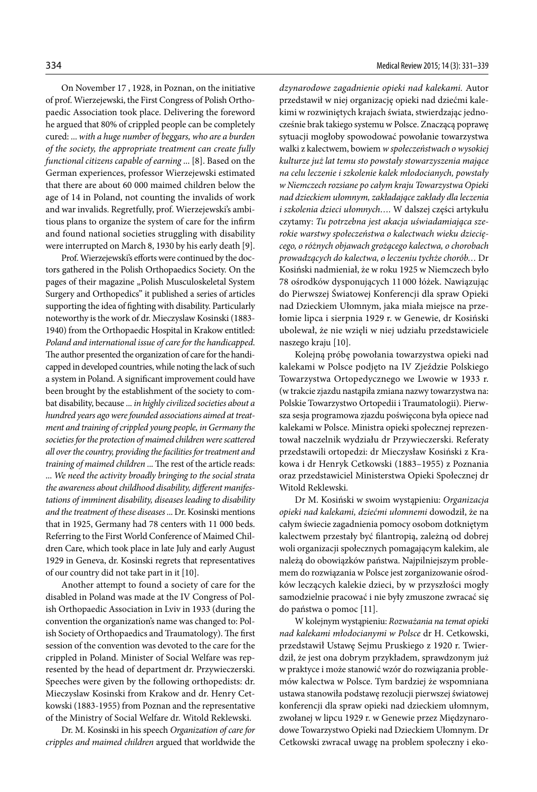On November 17 , 1928, in Poznan, on the initiative of prof. Wierzejewski, the First Congress of Polish Orthopaedic Association took place. Delivering the foreword he argued that 80% of crippled people can be completely cured: ... *with a huge number of beggars, who are a burden of the society, the appropriate treatment can create fully functional citizens capable of earning* ... [8]. Based on the German experiences, professor Wierzejewski estimated that there are about 60 000 maimed children below the age of 14 in Poland, not counting the invalids of work and war invalids. Regretfully, prof. Wierzejewski's ambitious plans to organize the system of care for the infirm and found national societies struggling with disability were interrupted on March 8, 1930 by his early death [9].

Prof. Wierzejewski's efforts were continued by the doctors gathered in the Polish Orthopaedics Society. On the pages of their magazine "Polish Musculoskeletal System Surgery and Orthopedics" it published a series of articles supporting the idea of fighting with disability. Particularly noteworthy is the work of dr. Mieczyslaw Kosinski (1883- 1940) from the Orthopaedic Hospital in Krakow entitled: *Poland and international issue of care for the handicapped*. The author presented the organization of care for the handicapped in developed countries, while noting the lack of such a system in Poland. A significant improvement could have been brought by the establishment of the society to combat disability, because ... *in highly civilized societies about a hundred years ago were founded associations aimed at treatment and training of crippled young people, in Germany the societies for the protection of maimed children were scattered all over the country, providing the facilities for treatment and training of maimed children* ... The rest of the article reads: ... *We need the activity broadly bringing to the social strata the awareness about childhood disability, different manifestations of imminent disability, diseases leading to disability and the treatment of these diseases* ... Dr. Kosinski mentions that in 1925, Germany had 78 centers with 11 000 beds. Referring to the First World Conference of Maimed Children Care, which took place in late July and early August 1929 in Geneva, dr. Kosinski regrets that representatives of our country did not take part in it [10].

Another attempt to found a society of care for the disabled in Poland was made at the IV Congress of Polish Orthopaedic Association in Lviv in 1933 (during the convention the organization's name was changed to: Polish Society of Orthopaedics and Traumatology). The first session of the convention was devoted to the care for the crippled in Poland. Minister of Social Welfare was represented by the head of department dr. Przywieczerski. Speeches were given by the following orthopedists: dr. Mieczyslaw Kosinski from Krakow and dr. Henry Cetkowski (1883-1955) from Poznan and the representative of the Ministry of Social Welfare dr. Witold Reklewski.

Dr. M. Kosinski in his speech *Organization of care for cripples and maimed children* argued that worldwide the *dzynarodowe zagadnienie opieki nad kalekami.* Autor przedstawił w niej organizację opieki nad dziećmi kalekimi w rozwiniętych krajach świata, stwierdzając jednocześnie brak takiego systemu w Polsce. Znaczącą poprawę sytuacji mogłoby spowodować powołanie towarzystwa walki z kalectwem, bowiem *w społeczeństwach o wysokiej kulturze już lat temu sto powstały stowarzyszenia mające na celu leczenie i szkolenie kalek młodocianych, powstały w Niemczech rozsiane po całym kraju Towarzystwa Opieki nad dzieckiem ułomnym, zakładające zakłady dla leczenia i szkolenia dzieci ułomnych….* W dalszej części artykułu czytamy: *Tu potrzebna jest akacja uświadamiająca szerokie warstwy społeczeństwa o kalectwach wieku dziecięcego, o różnych objawach grożącego kalectwa, o chorobach prowadzących do kalectwa, o leczeniu tychże chorób…* Dr Kosiński nadmieniał, że w roku 1925 w Niemczech było 78 ośrodków dysponujących 11 000 łóżek. Nawiązując do Pierwszej Światowej Konferencji dla spraw Opieki nad Dzieckiem Ułomnym, jaka miała miejsce na przełomie lipca i sierpnia 1929 r. w Genewie, dr Kosiński ubolewał, że nie wzięli w niej udziału przedstawiciele naszego kraju [10].

Kolejną próbę powołania towarzystwa opieki nad kalekami w Polsce podjęto na IV Zjeździe Polskiego Towarzystwa Ortopedycznego we Lwowie w 1933 r. (w trakcie zjazdu nastąpiła zmiana nazwy towarzystwa na: Polskie Towarzystwo Ortopedii i Traumatologii). Pierwsza sesja programowa zjazdu poświęcona była opiece nad kalekami w Polsce. Ministra opieki społecznej reprezentował naczelnik wydziału dr Przywieczerski. Referaty przedstawili ortopedzi: dr Mieczysław Kosiński z Krakowa i dr Henryk Cetkowski (1883–1955) z Poznania oraz przedstawiciel Ministerstwa Opieki Społecznej dr Witold Reklewski.

Dr M. Kosiński w swoim wystąpieniu: *Organizacja opieki nad kalekami, dziećmi ułomnemi* dowodził, że na całym świecie zagadnienia pomocy osobom dotkniętym kalectwem przestały być filantropią, zależną od dobrej woli organizacji społecznych pomagającym kalekim, ale należą do obowiązków państwa. Najpilniejszym problemem do rozwiązania w Polsce jest zorganizowanie ośrodków leczących kalekie dzieci, by w przyszłości mogły samodzielnie pracować i nie były zmuszone zwracać się do państwa o pomoc [11].

W kolejnym wystąpieniu: *Rozważania na temat opieki nad kalekami młodocianymi w Polsce* dr H. Cetkowski, przedstawił Ustawę Sejmu Pruskiego z 1920 r. Twierdził, że jest ona dobrym przykładem, sprawdzonym już w praktyce i może stanowić wzór do rozwiązania problemów kalectwa w Polsce. Tym bardziej że wspomniana ustawa stanowiła podstawę rezolucji pierwszej światowej konferencji dla spraw opieki nad dzieckiem ułomnym, zwołanej w lipcu 1929 r. w Genewie przez Międzynarodowe Towarzystwo Opieki nad Dzieckiem Ułomnym. Dr Cetkowski zwracał uwagę na problem społeczny i eko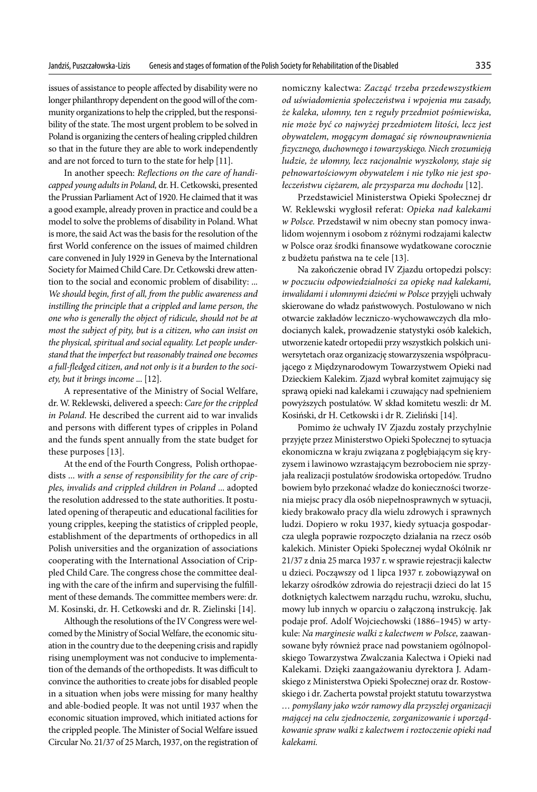issues of assistance to people affected by disability were no longer philanthropy dependent on the good will of the community organizations to help the crippled, but the responsibility of the state. The most urgent problem to be solved in Poland is organizing the centers of healing crippled children so that in the future they are able to work independently and are not forced to turn to the state for help [11].

In another speech: *Reflections on the care of handicapped young adults in Poland,* dr. H. Cetkowski, presented the Prussian Parliament Act of 1920. He claimed that it was a good example, already proven in practice and could be a model to solve the problems of disability in Poland. What is more, the said Act was the basis for the resolution of the first World conference on the issues of maimed children care convened in July 1929 in Geneva by the International Society for Maimed Child Care. Dr. Cetkowski drew attention to the social and economic problem of disability: ... *We should begin, first of all, from the public awareness and*  instilling the principle that a crippled and lame person, the *one who is generally the object of ridicule, should not be at most the subject of pity, but is a citizen, who can insist on the physical, spiritual and social equality. Let people understand that the imperfect but reasonably trained one becomes a full-fledged citizen, and not only is it a burden to the society, but it brings income* ... [12].

A representative of the Ministry of Social Welfare, dr. W. Reklewski, delivered a speech: *Care for the crippled in Poland*. He described the current aid to war invalids and persons with different types of cripples in Poland and the funds spent annually from the state budget for these purposes [13].

At the end of the Fourth Congress, Polish orthopaedists ... *with a sense of responsibility for the care of cripples, invalids and crippled children in Poland* ... adopted the resolution addressed to the state authorities. It postulated opening of therapeutic and educational facilities for young cripples, keeping the statistics of crippled people, establishment of the departments of orthopedics in all Polish universities and the organization of associations cooperating with the International Association of Crippled Child Care. The congress chose the committee dealing with the care of the infirm and supervising the fulfillment of these demands. The committee members were: dr. M. Kosinski, dr. H. Cetkowski and dr. R. Zielinski [14].

Although the resolutions of the IV Congress were welcomed by the Ministry of Social Welfare, the economic situation in the country due to the deepening crisis and rapidly rising unemployment was not conducive to implementation of the demands of the orthopedists. It was difficult to convince the authorities to create jobs for disabled people in a situation when jobs were missing for many healthy and able-bodied people. It was not until 1937 when the economic situation improved, which initiated actions for the crippled people. The Minister of Social Welfare issued Circular No. 21/37 of 25 March, 1937, on the registration of nomiczny kalectwa: *Zacząć trzeba przedewszystkiem od uświadomienia społeczeństwa i wpojenia mu zasady, że kaleka, ułomny, ten z reguły przedmiot pośmiewiska, nie może być co najwyżej przedmiotem litości, lecz jest obywatelem, mogącym domagać się równouprawnienia fizycznego, duchownego i towarzyskiego. Niech zrozumieją ludzie, że ułomny, lecz racjonalnie wyszkolony, staje się pełnowartościowym obywatelem i nie tylko nie jest społeczeństwu ciężarem, ale przysparza mu dochodu* [12].

Przedstawiciel Ministerstwa Opieki Społecznej dr W. Reklewski wygłosił referat: *Opieka nad kalekami w Polsce.* Przedstawił w nim obecny stan pomocy inwalidom wojennym i osobom z różnymi rodzajami kalectw w Polsce oraz środki finansowe wydatkowane corocznie z budżetu państwa na te cele [13].

Na zakończenie obrad IV Zjazdu ortopedzi polscy: *w poczuciu odpowiedzialności za opiekę nad kalekami, inwalidami i ułomnymi dziećmi w Polsce* przyjęli uchwały skierowane do władz państwowych. Postulowano w nich otwarcie zakładów leczniczo-wychowawczych dla młodocianych kalek, prowadzenie statystyki osób kalekich, utworzenie katedr ortopedii przy wszystkich polskich uniwersytetach oraz organizację stowarzyszenia współpracującego z Międzynarodowym Towarzystwem Opieki nad Dzieckiem Kalekim. Zjazd wybrał komitet zajmujący się sprawą opieki nad kalekami i czuwający nad spełnieniem powyższych postulatów. W skład komitetu weszli: dr M. Kosiński, dr H. Cetkowski i dr R. Zieliński [14].

Pomimo że uchwały IV Zjazdu zostały przychylnie przyjęte przez Ministerstwo Opieki Społecznej to sytuacja ekonomiczna w kraju związana z pogłębiającym się kryzysem i lawinowo wzrastającym bezrobociem nie sprzyjała realizacji postulatów środowiska ortopedów. Trudno bowiem było przekonać władze do konieczności tworzenia miejsc pracy dla osób niepełnosprawnych w sytuacji, kiedy brakowało pracy dla wielu zdrowych i sprawnych ludzi. Dopiero w roku 1937, kiedy sytuacja gospodarcza uległa poprawie rozpoczęto działania na rzecz osób kalekich. Minister Opieki Społecznej wydał Okólnik nr 21/37 z dnia 25 marca 1937 r. w sprawie rejestracji kalectw u dzieci. Począwszy od 1 lipca 1937 r. zobowiązywał on lekarzy ośrodków zdrowia do rejestracji dzieci do lat 15 dotkniętych kalectwem narządu ruchu, wzroku, słuchu, mowy lub innych w oparciu o załączoną instrukcję. Jak podaje prof. Adolf Wojciechowski (1886–1945) w artykule: *Na marginesie walki z kalectwem w Polsce,* zaawansowane były również prace nad powstaniem ogólnopolskiego Towarzystwa Zwalczania Kalectwa i Opieki nad Kalekami. Dzięki zaangażowaniu dyrektora J. Adamskiego z Ministerstwa Opieki Społecznej oraz dr. Rostowskiego i dr. Zacherta powstał projekt statutu towarzystwa *… pomyślany jako wzór ramowy dla przyszłej organizacji mającej na celu zjednoczenie, zorganizowanie i uporządkowanie spraw walki z kalectwem i roztoczenie opieki nad kalekami.*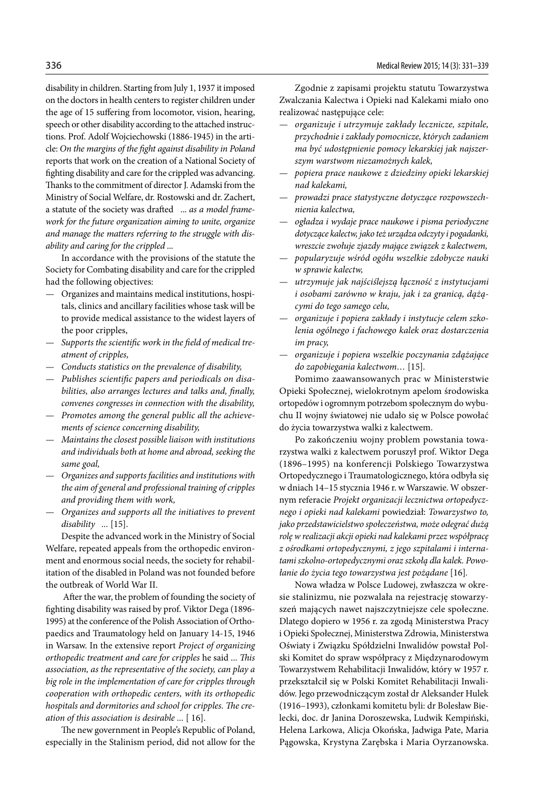disability in children. Starting from July 1, 1937 it imposed on the doctors in health centers to register children under the age of 15 suffering from locomotor, vision, hearing, speech or other disability according to the attached instructions. Prof. Adolf Wojciechowski (1886-1945) in the article: *On the margins of the fight against disability in Poland* reports that work on the creation of a National Society of fighting disability and care for the crippled was advancing. Thanks to the commitment of director J. Adamski from the Ministry of Social Welfare, dr. Rostowski and dr. Zachert, a statute of the society was drafted ... *as a model framework for the future organization aiming to unite, organize and manage the matters referring to the struggle with disability and caring for the crippled* ...

In accordance with the provisions of the statute the Society for Combating disability and care for the crippled had the following objectives:

- Organizes and maintains medical institutions, hospitals, clinics and ancillary facilities whose task will be to provide medical assistance to the widest layers of the poor cripples,
- *Supports the scientific work in the field of medical treatment of cripples,*
- *Conducts statistics on the prevalence of disability,*
- *Publishes scientific papers and periodicals on disabilities, also arranges lectures and talks and, finally, convenes congresses in connection with the disability,*
- *Promotes among the general public all the achievements of science concerning disability,*
- *Maintains the closest possible liaison with institutions and individuals both at home and abroad, seeking the same goal,*
- *Organizes and supports facilities and institutions with the aim of general and professional training of cripples and providing them with work,*
- *Organizes and supports all the initiatives to prevent disability ...* [15].

Despite the advanced work in the Ministry of Social Welfare, repeated appeals from the orthopedic environment and enormous social needs, the society for rehabilitation of the disabled in Poland was not founded before the outbreak of World War II.

 After the war, the problem of founding the society of fighting disability was raised by prof. Viktor Dega (1896- 1995) at the conference of the Polish Association of Orthopaedics and Traumatology held on January 14-15, 1946 in Warsaw. In the extensive report *Project of organizing orthopedic treatment and care for cripples* he said ... *This association, as the representative of the society, can play a big role in the implementation of care for cripples through cooperation with orthopedic centers, with its orthopedic hospitals and dormitories and school for cripples. The creation of this association is desirable ...* [ 16].

The new government in People's Republic of Poland, especially in the Stalinism period, did not allow for the

Zgodnie z zapisami projektu statutu Towarzystwa Zwalczania Kalectwa i Opieki nad Kalekami miało ono realizować następujące cele:

- *organizuje i utrzymuje zakłady lecznicze, szpitale, przychodnie i zakłady pomocnicze, których zadaniem ma być udostępnienie pomocy lekarskiej jak najszerszym warstwom niezamożnych kalek,*
- *popiera prace naukowe z dziedziny opieki lekarskiej nad kalekami,*
- *prowadzi prace statystyczne dotyczące rozpowszechnienia kalectwa,*
- *ogładza i wydaje prace naukowe i pisma periodyczne dotyczące kalectw, jako też urządza odczyty i pogadanki, wreszcie zwołuje zjazdy mające związek z kalectwem,*
- *popularyzuje wśród ogółu wszelkie zdobycze nauki w sprawie kalectw,*
- *utrzymuje jak najściślejszą łączność z instytucjami i osobami zarówno w kraju, jak i za granicą, dążącymi do tego samego celu,*
- *organizuje i popiera zakłady i instytucje celem szkolenia ogólnego i fachowego kalek oraz dostarczenia im pracy,*
- *organizuje i popiera wszelkie poczynania zdążające do zapobiegania kalectwom…* [15]*.*

Pomimo zaawansowanych prac w Ministerstwie Opieki Społecznej, wielokrotnym apelom środowiska ortopedów i ogromnym potrzebom społecznym do wybuchu II wojny światowej nie udało się w Polsce powołać do życia towarzystwa walki z kalectwem.

Po zakończeniu wojny problem powstania towarzystwa walki z kalectwem poruszył prof. Wiktor Dega (1896–1995) na konferencji Polskiego Towarzystwa Ortopedycznego i Traumatologicznego, która odbyła się w dniach 14–15 stycznia 1946 r. w Warszawie. W obszernym referacie *Projekt organizacji lecznictwa ortopedycznego i opieki nad kalekami* powiedział: *Towarzystwo to, jako przedstawicielstwo społeczeństwa, może odegrać dużą rolę w realizacji akcji opieki nad kalekami przez współpracę z ośrodkami ortopedycznymi, z jego szpitalami i internatami szkolno-ortopedycznymi oraz szkołą dla kalek. Powołanie do życia tego towarzystwa jest pożądane* [16]*.* 

Nowa władza w Polsce Ludowej, zwłaszcza w okresie stalinizmu, nie pozwalała na rejestrację stowarzyszeń mających nawet najszczytniejsze cele społeczne. Dlatego dopiero w 1956 r. za zgodą Ministerstwa Pracy i Opieki Społecznej, Ministerstwa Zdrowia, Ministerstwa Oświaty i Związku Spółdzielni Inwalidów powstał Polski Komitet do spraw współpracy z Międzynarodowym Towarzystwem Rehabilitacji Inwalidów, który w 1957 r. przekształcił się w Polski Komitet Rehabilitacji Inwalidów. Jego przewodniczącym został dr Aleksander Hulek (1916–1993), członkami komitetu byli: dr Bolesław Bielecki, doc. dr Janina Doroszewska, Ludwik Kempiński, Helena Larkowa, Alicja Okońska, Jadwiga Pate, Maria Pągowska, Krystyna Zarębska i Maria Oyrzanowska.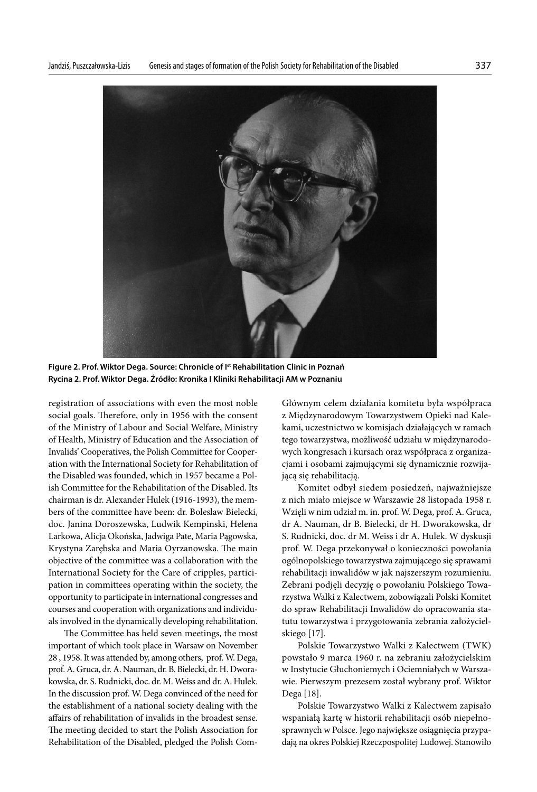

**Figure 2. Prof. Wiktor Dega. Source: Chronicle of Ist Rehabilitation Clinic in Poznań Rycina 2. Prof. Wiktor Dega. Źródło: Kronika I Kliniki Rehabilitacji AM w Poznaniu**

registration of associations with even the most noble social goals. Therefore, only in 1956 with the consent of the Ministry of Labour and Social Welfare, Ministry of Health, Ministry of Education and the Association of Invalids' Cooperatives, the Polish Committee for Cooperation with the International Society for Rehabilitation of the Disabled was founded, which in 1957 became a Polish Committee for the Rehabilitation of the Disabled. Its chairman is dr. Alexander Hulek (1916-1993), the members of the committee have been: dr. Boleslaw Bielecki, doc. Janina Doroszewska, Ludwik Kempinski, Helena Larkowa, Alicja Okońska, Jadwiga Pate, Maria Pągowska, Krystyna Zarębska and Maria Oyrzanowska. The main objective of the committee was a collaboration with the International Society for the Care of cripples, participation in committees operating within the society, the opportunity to participate in international congresses and courses and cooperation with organizations and individuals involved in the dynamically developing rehabilitation.

The Committee has held seven meetings, the most important of which took place in Warsaw on November 28 , 1958. It was attended by, among others, prof. W. Dega, prof. A. Gruca, dr. A. Nauman, dr. B. Bielecki, dr. H. Dworakowska, dr. S. Rudnicki, doc. dr. M. Weiss and dr. A. Hulek. In the discussion prof. W. Dega convinced of the need for the establishment of a national society dealing with the affairs of rehabilitation of invalids in the broadest sense. The meeting decided to start the Polish Association for Rehabilitation of the Disabled, pledged the Polish ComGłównym celem działania komitetu była współpraca z Międzynarodowym Towarzystwem Opieki nad Kalekami, uczestnictwo w komisjach działających w ramach tego towarzystwa, możliwość udziału w międzynarodowych kongresach i kursach oraz współpraca z organizacjami i osobami zajmującymi się dynamicznie rozwijającą się rehabilitacją.

Komitet odbył siedem posiedzeń, najważniejsze z nich miało miejsce w Warszawie 28 listopada 1958 r. Wzięli w nim udział m. in. prof. W. Dega, prof. A. Gruca, dr A. Nauman, dr B. Bielecki, dr H. Dworakowska, dr S. Rudnicki, doc. dr M. Weiss i dr A. Hulek. W dyskusji prof. W. Dega przekonywał o konieczności powołania ogólnopolskiego towarzystwa zajmującego się sprawami rehabilitacji inwalidów w jak najszerszym rozumieniu. Zebrani podjęli decyzję o powołaniu Polskiego Towarzystwa Walki z Kalectwem, zobowiązali Polski Komitet do spraw Rehabilitacji Inwalidów do opracowania statutu towarzystwa i przygotowania zebrania założycielskiego [17].

Polskie Towarzystwo Walki z Kalectwem (TWK) powstało 9 marca 1960 r. na zebraniu założycielskim w Instytucie Głuchoniemych i Ociemniałych w Warszawie. Pierwszym prezesem został wybrany prof. Wiktor Dega [18].

Polskie Towarzystwo Walki z Kalectwem zapisało wspaniałą kartę w historii rehabilitacji osób niepełnosprawnych w Polsce. Jego największe osiągnięcia przypadają na okres Polskiej Rzeczpospolitej Ludowej. Stanowiło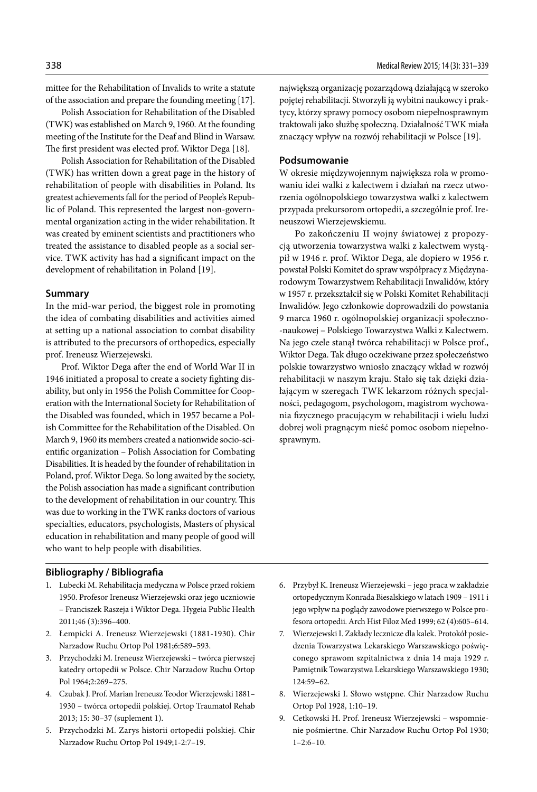mittee for the Rehabilitation of Invalids to write a statute of the association and prepare the founding meeting [17].

Polish Association for Rehabilitation of the Disabled (TWK) was established on March 9, 1960. At the founding meeting of the Institute for the Deaf and Blind in Warsaw. The first president was elected prof. Wiktor Dega [18].

Polish Association for Rehabilitation of the Disabled (TWK) has written down a great page in the history of rehabilitation of people with disabilities in Poland. Its greatest achievements fall for the period of People's Republic of Poland. This represented the largest non-governmental organization acting in the wider rehabilitation. It was created by eminent scientists and practitioners who treated the assistance to disabled people as a social service. TWK activity has had a significant impact on the development of rehabilitation in Poland [19].

#### **Summary**

In the mid-war period, the biggest role in promoting the idea of combating disabilities and activities aimed at setting up a national association to combat disability is attributed to the precursors of orthopedics, especially prof. Ireneusz Wierzejewski.

Prof. Wiktor Dega after the end of World War II in 1946 initiated a proposal to create a society fighting disability, but only in 1956 the Polish Committee for Cooperation with the International Society for Rehabilitation of the Disabled was founded, which in 1957 became a Polish Committee for the Rehabilitation of the Disabled. On March 9, 1960 its members created a nationwide socio-scientific organization – Polish Association for Combating Disabilities. It is headed by the founder of rehabilitation in Poland, prof. Wiktor Dega. So long awaited by the society, the Polish association has made a significant contribution to the development of rehabilitation in our country. This was due to working in the TWK ranks doctors of various specialties, educators, psychologists, Masters of physical education in rehabilitation and many people of good will who want to help people with disabilities.

#### **Bibliography / Bibliografia**

- 1. Lubecki M. Rehabilitacja medyczna w Polsce przed rokiem 1950. Profesor Ireneusz Wierzejewski oraz jego uczniowie – Franciszek Raszeja i Wiktor Dega. Hygeia Public Health 2011;46 (3):396–400.
- 2. Łempicki A. Ireneusz Wierzejewski (1881-1930). Chir Narzadow Ruchu Ortop Pol 1981;6:589–593.
- 3. Przychodzki M. Ireneusz Wierzejewski twórca pierwszej katedry ortopedii w Polsce. Chir Narzadow Ruchu Ortop Pol 1964;2:269–275.
- 4. Czubak J. Prof. Marian Ireneusz Teodor Wierzejewski 1881– 1930 – twórca ortopedii polskiej. Ortop Traumatol Rehab 2013; 15: 30–37 (suplement 1).
- 5. Przychodzki M. Zarys historii ortopedii polskiej. Chir Narzadow Ruchu Ortop Pol 1949;1-2:7–19.

największą organizację pozarządową działającą w szeroko pojętej rehabilitacji. Stworzyli ją wybitni naukowcy i praktycy, którzy sprawy pomocy osobom niepełnosprawnym traktowali jako służbę społeczną. Działalność TWK miała znaczący wpływ na rozwój rehabilitacji w Polsce [19].

#### **Podsumowanie**

W okresie międzywojennym największa rola w promowaniu idei walki z kalectwem i działań na rzecz utworzenia ogólnopolskiego towarzystwa walki z kalectwem przypada prekursorom ortopedii, a szczególnie prof. Ireneuszowi Wierzejewskiemu.

Po zakończeniu II wojny światowej z propozycją utworzenia towarzystwa walki z kalectwem wystąpił w 1946 r. prof. Wiktor Dega, ale dopiero w 1956 r. powstał Polski Komitet do spraw współpracy z Międzynarodowym Towarzystwem Rehabilitacji Inwalidów, który w 1957 r. przekształcił się w Polski Komitet Rehabilitacji Inwalidów. Jego członkowie doprowadzili do powstania 9 marca 1960 r. ogólnopolskiej organizacji społeczno- -naukowej – Polskiego Towarzystwa Walki z Kalectwem. Na jego czele stanął twórca rehabilitacji w Polsce prof., Wiktor Dega. Tak długo oczekiwane przez społeczeństwo polskie towarzystwo wniosło znaczący wkład w rozwój rehabilitacji w naszym kraju. Stało się tak dzięki działającym w szeregach TWK lekarzom różnych specjalności, pedagogom, psychologom, magistrom wychowania fizycznego pracującym w rehabilitacji i wielu ludzi dobrej woli pragnącym nieść pomoc osobom niepełnosprawnym.

- 6. Przybył K. Ireneusz Wierzejewski jego praca w zakładzie ortopedycznym Konrada Biesalskiego w latach 1909 – 1911 i jego wpływ na poglądy zawodowe pierwszego w Polsce profesora ortopedii. Arch Hist Filoz Med 1999; 62 (4):605–614.
- 7. Wierzejewski I. Zakłady lecznicze dla kalek. Protokół posiedzenia Towarzystwa Lekarskiego Warszawskiego poświęconego sprawom szpitalnictwa z dnia 14 maja 1929 r. Pamiętnik Towarzystwa Lekarskiego Warszawskiego 1930; 124:59–62.
- 8. Wierzejewski I. Słowo wstępne. Chir Narzadow Ruchu Ortop Pol 1928, 1:10–19.
- 9. Cetkowski H. Prof. Ireneusz Wierzejewski wspomnienie pośmiertne. Chir Narzadow Ruchu Ortop Pol 1930;  $1-2:6-10.$